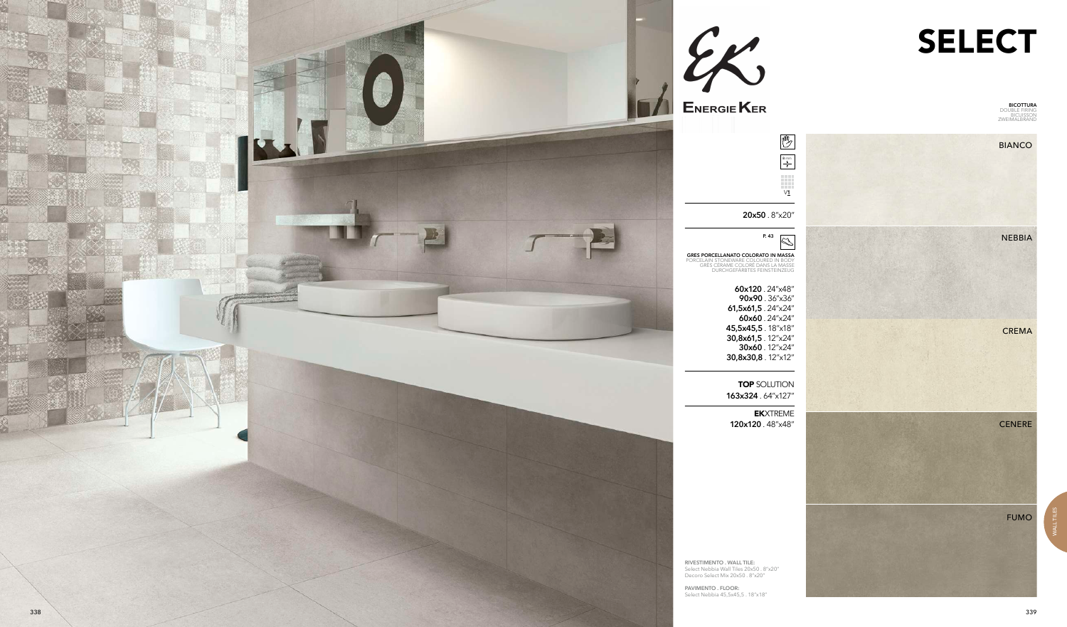



WALL TILES